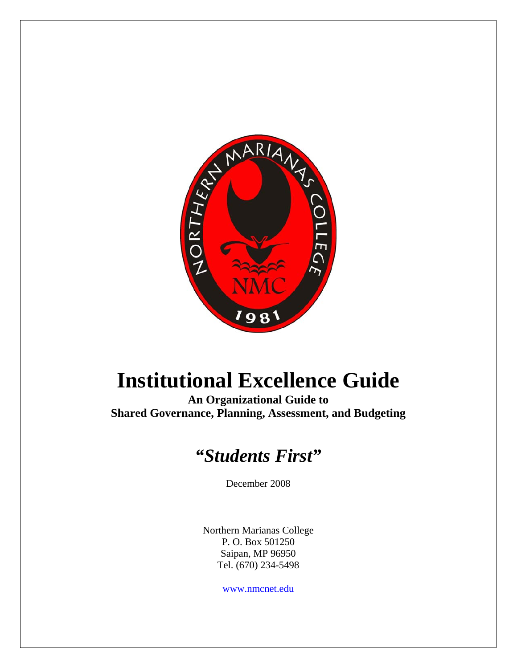

## **Institutional Excellence Guide**

**An Organizational Guide to Shared Governance, Planning, Assessment, and Budgeting** 



December 2008

Northern Marianas College P. O. Box 501250 Saipan, MP 96950 Tel. (670) 234-5498

www.nmcnet.edu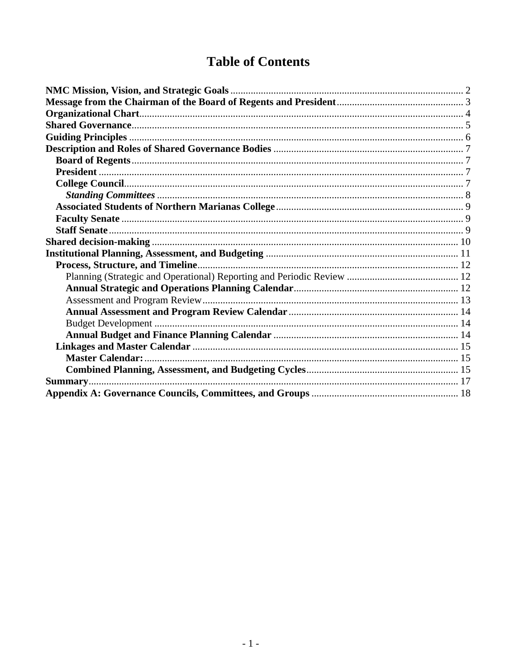## **Table of Contents**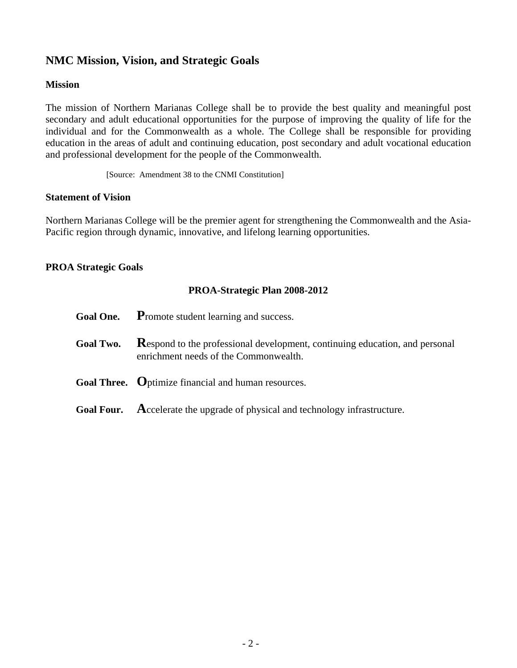## **NMC Mission, Vision, and Strategic Goals**

## **Mission**

The mission of Northern Marianas College shall be to provide the best quality and meaningful post secondary and adult educational opportunities for the purpose of improving the quality of life for the individual and for the Commonwealth as a whole. The College shall be responsible for providing education in the areas of adult and continuing education, post secondary and adult vocational education and professional development for the people of the Commonwealth.

[Source: Amendment 38 to the CNMI Constitution]

#### **Statement of Vision**

Northern Marianas College will be the premier agent for strengthening the Commonwealth and the Asia-Pacific region through dynamic, innovative, and lifelong learning opportunities.

## **PROA Strategic Goals**

## **PROA-Strategic Plan 2008-2012**

| <b>Goal One.</b> | <b>Promote student learning and success.</b>                                                                                |
|------------------|-----------------------------------------------------------------------------------------------------------------------------|
| <b>Goal Two.</b> | <b>Respond to the professional development, continuing education, and personal</b><br>enrichment needs of the Commonwealth. |
|                  | Goal Three. Optimize financial and human resources.                                                                         |
|                  | <b>Goal Four.</b> Accelerate the upgrade of physical and technology infrastructure.                                         |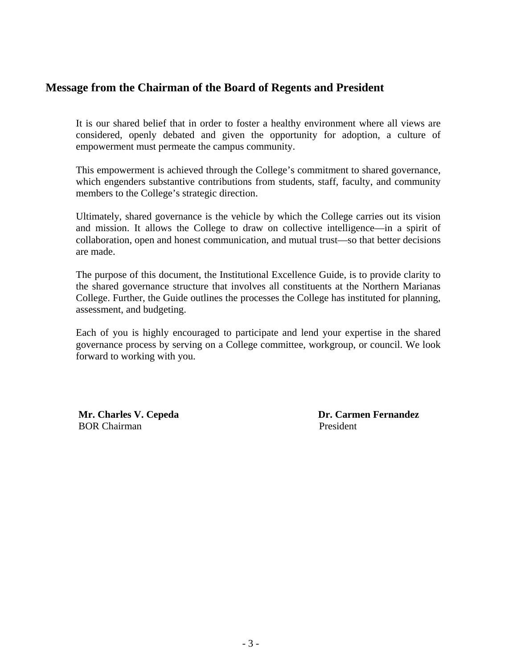## **Message from the Chairman of the Board of Regents and President**

It is our shared belief that in order to foster a healthy environment where all views are considered, openly debated and given the opportunity for adoption, a culture of empowerment must permeate the campus community.

This empowerment is achieved through the College's commitment to shared governance, which engenders substantive contributions from students, staff, faculty, and community members to the College's strategic direction.

Ultimately, shared governance is the vehicle by which the College carries out its vision and mission. It allows the College to draw on collective intelligence—in a spirit of collaboration, open and honest communication, and mutual trust—so that better decisions are made.

The purpose of this document, the Institutional Excellence Guide, is to provide clarity to the shared governance structure that involves all constituents at the Northern Marianas College. Further, the Guide outlines the processes the College has instituted for planning, assessment, and budgeting.

Each of you is highly encouraged to participate and lend your expertise in the shared governance process by serving on a College committee, workgroup, or council. We look forward to working with you.

BOR Chairman **President** President

**Mr. Charles V. Cepeda Dr. Carmen Fernandez**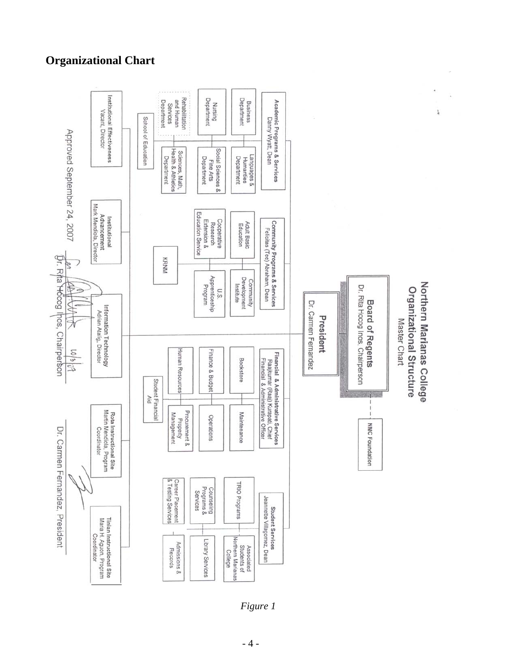## **Organizational Chart**



*Figure 1*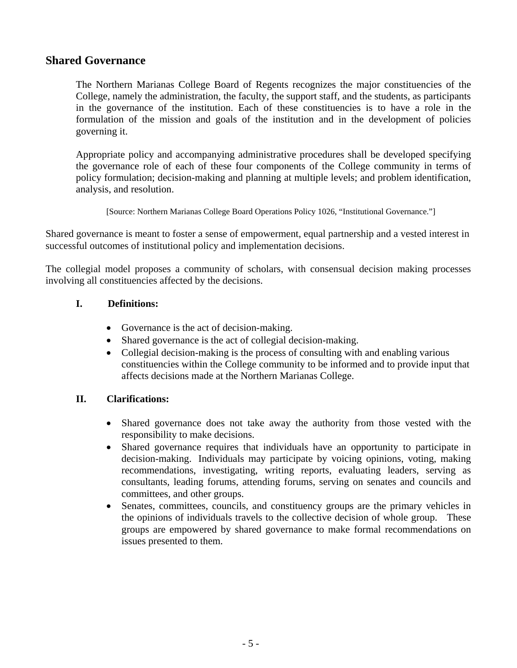## **Shared Governance**

The Northern Marianas College Board of Regents recognizes the major constituencies of the College, namely the administration, the faculty, the support staff, and the students, as participants in the governance of the institution. Each of these constituencies is to have a role in the formulation of the mission and goals of the institution and in the development of policies governing it.

Appropriate policy and accompanying administrative procedures shall be developed specifying the governance role of each of these four components of the College community in terms of policy formulation; decision-making and planning at multiple levels; and problem identification, analysis, and resolution.

[Source: Northern Marianas College Board Operations Policy 1026, "Institutional Governance."]

Shared governance is meant to foster a sense of empowerment, equal partnership and a vested interest in successful outcomes of institutional policy and implementation decisions.

The collegial model proposes a community of scholars, with consensual decision making processes involving all constituencies affected by the decisions.

## **I. Definitions:**

- Governance is the act of decision-making.
- Shared governance is the act of collegial decision-making.
- Collegial decision-making is the process of consulting with and enabling various constituencies within the College community to be informed and to provide input that affects decisions made at the Northern Marianas College.

## **II. Clarifications:**

- Shared governance does not take away the authority from those vested with the responsibility to make decisions.
- Shared governance requires that individuals have an opportunity to participate in decision-making. Individuals may participate by voicing opinions, voting, making recommendations, investigating, writing reports, evaluating leaders, serving as consultants, leading forums, attending forums, serving on senates and councils and committees, and other groups.
- Senates, committees, councils, and constituency groups are the primary vehicles in the opinions of individuals travels to the collective decision of whole group. These groups are empowered by shared governance to make formal recommendations on issues presented to them.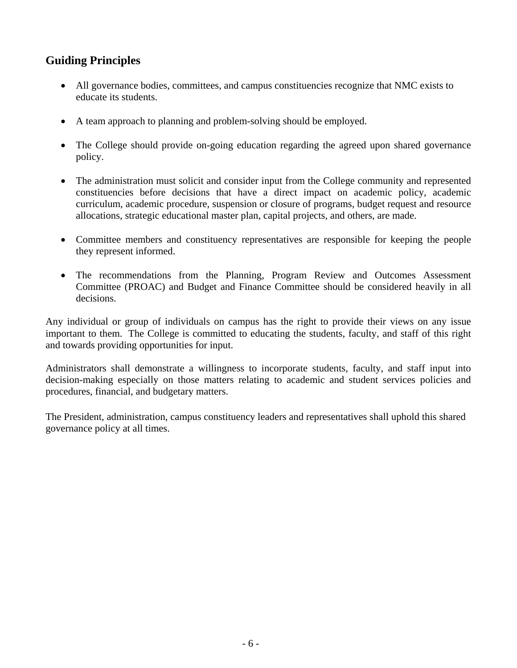## **Guiding Principles**

- All governance bodies, committees, and campus constituencies recognize that NMC exists to educate its students.
- A team approach to planning and problem-solving should be employed.
- The College should provide on-going education regarding the agreed upon shared governance policy.
- The administration must solicit and consider input from the College community and represented constituencies before decisions that have a direct impact on academic policy, academic curriculum, academic procedure, suspension or closure of programs, budget request and resource allocations, strategic educational master plan, capital projects, and others, are made.
- Committee members and constituency representatives are responsible for keeping the people they represent informed.
- The recommendations from the Planning, Program Review and Outcomes Assessment Committee (PROAC) and Budget and Finance Committee should be considered heavily in all decisions.

Any individual or group of individuals on campus has the right to provide their views on any issue important to them. The College is committed to educating the students, faculty, and staff of this right and towards providing opportunities for input.

Administrators shall demonstrate a willingness to incorporate students, faculty, and staff input into decision-making especially on those matters relating to academic and student services policies and procedures, financial, and budgetary matters.

The President, administration, campus constituency leaders and representatives shall uphold this shared governance policy at all times.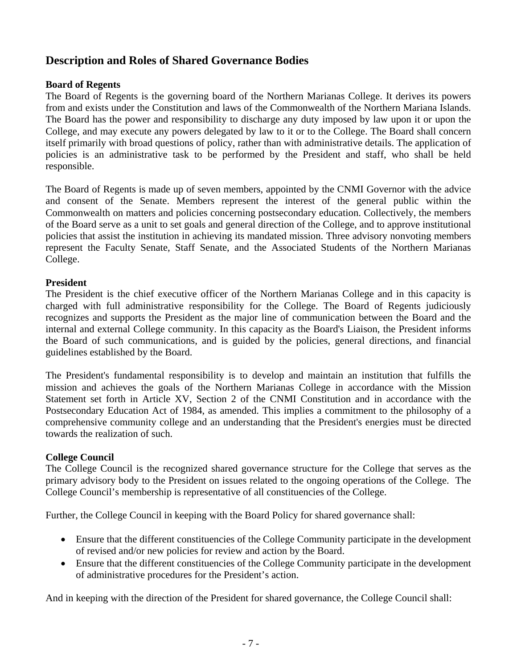## **Description and Roles of Shared Governance Bodies**

## **Board of Regents**

The Board of Regents is the governing board of the Northern Marianas College. It derives its powers from and exists under the Constitution and laws of the Commonwealth of the Northern Mariana Islands. The Board has the power and responsibility to discharge any duty imposed by law upon it or upon the College, and may execute any powers delegated by law to it or to the College. The Board shall concern itself primarily with broad questions of policy, rather than with administrative details. The application of policies is an administrative task to be performed by the President and staff, who shall be held responsible.

The Board of Regents is made up of seven members, appointed by the CNMI Governor with the advice and consent of the Senate. Members represent the interest of the general public within the Commonwealth on matters and policies concerning postsecondary education. Collectively, the members of the Board serve as a unit to set goals and general direction of the College, and to approve institutional policies that assist the institution in achieving its mandated mission. Three advisory nonvoting members represent the Faculty Senate, Staff Senate, and the Associated Students of the Northern Marianas College.

## **President**

The President is the chief executive officer of the Northern Marianas College and in this capacity is charged with full administrative responsibility for the College. The Board of Regents judiciously recognizes and supports the President as the major line of communication between the Board and the internal and external College community. In this capacity as the Board's Liaison, the President informs the Board of such communications, and is guided by the policies, general directions, and financial guidelines established by the Board.

The President's fundamental responsibility is to develop and maintain an institution that fulfills the mission and achieves the goals of the Northern Marianas College in accordance with the Mission Statement set forth in Article XV, Section 2 of the CNMI Constitution and in accordance with the Postsecondary Education Act of 1984, as amended. This implies a commitment to the philosophy of a comprehensive community college and an understanding that the President's energies must be directed towards the realization of such.

## **College Council**

The College Council is the recognized shared governance structure for the College that serves as the primary advisory body to the President on issues related to the ongoing operations of the College. The College Council's membership is representative of all constituencies of the College.

Further, the College Council in keeping with the Board Policy for shared governance shall:

- Ensure that the different constituencies of the College Community participate in the development of revised and/or new policies for review and action by the Board.
- Ensure that the different constituencies of the College Community participate in the development of administrative procedures for the President's action.

And in keeping with the direction of the President for shared governance, the College Council shall: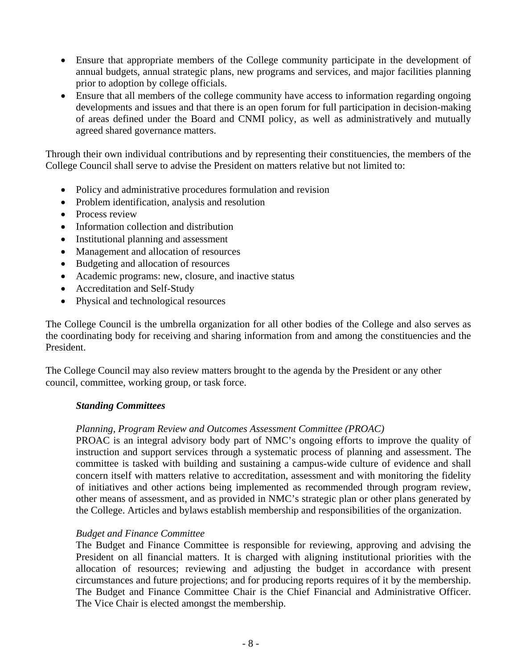- Ensure that appropriate members of the College community participate in the development of annual budgets, annual strategic plans, new programs and services, and major facilities planning prior to adoption by college officials.
- Ensure that all members of the college community have access to information regarding ongoing developments and issues and that there is an open forum for full participation in decision-making of areas defined under the Board and CNMI policy, as well as administratively and mutually agreed shared governance matters.

Through their own individual contributions and by representing their constituencies, the members of the College Council shall serve to advise the President on matters relative but not limited to:

- Policy and administrative procedures formulation and revision
- Problem identification, analysis and resolution
- Process review
- Information collection and distribution
- Institutional planning and assessment
- Management and allocation of resources
- Budgeting and allocation of resources
- Academic programs: new, closure, and inactive status
- Accreditation and Self-Study
- Physical and technological resources

The College Council is the umbrella organization for all other bodies of the College and also serves as the coordinating body for receiving and sharing information from and among the constituencies and the President.

The College Council may also review matters brought to the agenda by the President or any other council, committee, working group, or task force.

## *Standing Committees*

## *Planning, Program Review and Outcomes Assessment Committee (PROAC)*

PROAC is an integral advisory body part of NMC's ongoing efforts to improve the quality of instruction and support services through a systematic process of planning and assessment. The committee is tasked with building and sustaining a campus-wide culture of evidence and shall concern itself with matters relative to accreditation, assessment and with monitoring the fidelity of initiatives and other actions being implemented as recommended through program review, other means of assessment, and as provided in NMC's strategic plan or other plans generated by the College. Articles and bylaws establish membership and responsibilities of the organization.

#### *Budget and Finance Committee*

The Budget and Finance Committee is responsible for reviewing, approving and advising the President on all financial matters. It is charged with aligning institutional priorities with the allocation of resources; reviewing and adjusting the budget in accordance with present circumstances and future projections; and for producing reports requires of it by the membership. The Budget and Finance Committee Chair is the Chief Financial and Administrative Officer. The Vice Chair is elected amongst the membership.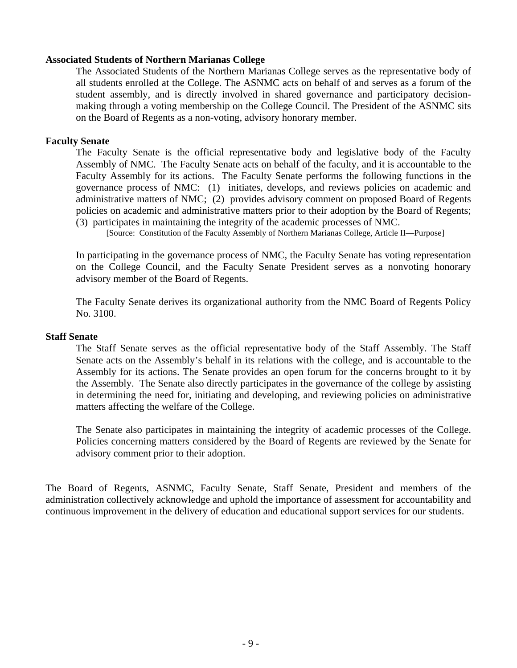#### **Associated Students of Northern Marianas College**

The Associated Students of the Northern Marianas College serves as the representative body of all students enrolled at the College. The ASNMC acts on behalf of and serves as a forum of the student assembly, and is directly involved in shared governance and participatory decisionmaking through a voting membership on the College Council. The President of the ASNMC sits on the Board of Regents as a non-voting, advisory honorary member.

#### **Faculty Senate**

The Faculty Senate is the official representative body and legislative body of the Faculty Assembly of NMC. The Faculty Senate acts on behalf of the faculty, and it is accountable to the Faculty Assembly for its actions. The Faculty Senate performs the following functions in the governance process of NMC: (1) initiates, develops, and reviews policies on academic and administrative matters of NMC; (2) provides advisory comment on proposed Board of Regents policies on academic and administrative matters prior to their adoption by the Board of Regents; (3) participates in maintaining the integrity of the academic processes of NMC.

[Source: Constitution of the Faculty Assembly of Northern Marianas College, Article II—Purpose]

In participating in the governance process of NMC, the Faculty Senate has voting representation on the College Council, and the Faculty Senate President serves as a nonvoting honorary advisory member of the Board of Regents.

The Faculty Senate derives its organizational authority from the NMC Board of Regents Policy No. 3100.

#### **Staff Senate**

The Staff Senate serves as the official representative body of the Staff Assembly. The Staff Senate acts on the Assembly's behalf in its relations with the college, and is accountable to the Assembly for its actions. The Senate provides an open forum for the concerns brought to it by the Assembly. The Senate also directly participates in the governance of the college by assisting in determining the need for, initiating and developing, and reviewing policies on administrative matters affecting the welfare of the College.

The Senate also participates in maintaining the integrity of academic processes of the College. Policies concerning matters considered by the Board of Regents are reviewed by the Senate for advisory comment prior to their adoption.

The Board of Regents, ASNMC, Faculty Senate, Staff Senate, President and members of the administration collectively acknowledge and uphold the importance of assessment for accountability and continuous improvement in the delivery of education and educational support services for our students.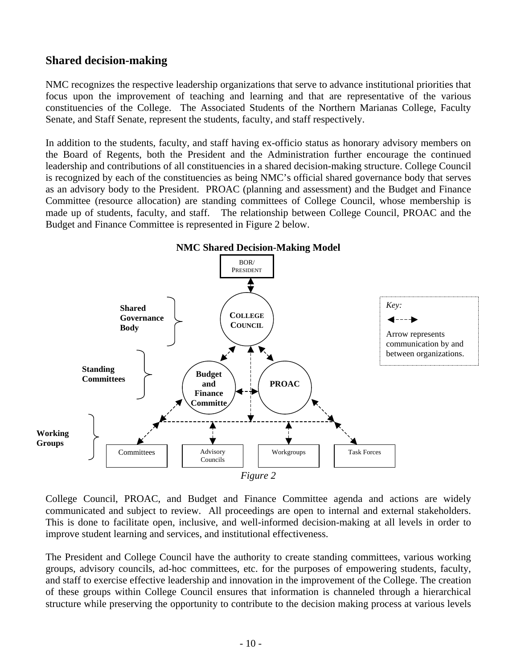## **Shared decision-making**

NMC recognizes the respective leadership organizations that serve to advance institutional priorities that focus upon the improvement of teaching and learning and that are representative of the various constituencies of the College. The Associated Students of the Northern Marianas College, Faculty Senate, and Staff Senate, represent the students, faculty, and staff respectively.

In addition to the students, faculty, and staff having ex-officio status as honorary advisory members on the Board of Regents, both the President and the Administration further encourage the continued leadership and contributions of all constituencies in a shared decision-making structure. College Council is recognized by each of the constituencies as being NMC's official shared governance body that serves as an advisory body to the President. PROAC (planning and assessment) and the Budget and Finance Committee (resource allocation) are standing committees of College Council, whose membership is made up of students, faculty, and staff. The relationship between College Council, PROAC and the Budget and Finance Committee is represented in Figure 2 below.



College Council, PROAC, and Budget and Finance Committee agenda and actions are widely communicated and subject to review. All proceedings are open to internal and external stakeholders. This is done to facilitate open, inclusive, and well-informed decision-making at all levels in order to improve student learning and services, and institutional effectiveness.

The President and College Council have the authority to create standing committees, various working groups, advisory councils, ad-hoc committees, etc. for the purposes of empowering students, faculty, and staff to exercise effective leadership and innovation in the improvement of the College. The creation of these groups within College Council ensures that information is channeled through a hierarchical structure while preserving the opportunity to contribute to the decision making process at various levels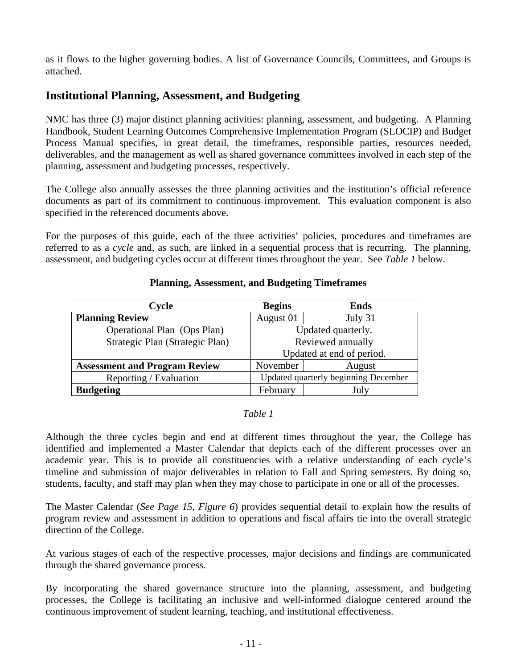as it flows to the higher governing bodies. A list of Governance Councils, Committees, and Groups is attached.

## **Institutional Planning, Assessment, and Budgeting**

NMC has three (3) major distinct planning activities: planning, assessment, and budgeting. A Planning Handbook, Student Learning Outcomes Comprehensive Implementation Program (SLOCIP) and Budget Process Manual specifies, in great detail, the timeframes, responsible parties, resources needed, deliverables, and the management as well as shared governance committees involved in each step of the planning, assessment and budgeting processes, respectively.

The College also annually assesses the three planning activities and the institution's official reference documents as part of its commitment to continuous improvement. This evaluation component is also specified in the referenced documents above.

For the purposes of this guide, each of the three activities' policies, procedures and timeframes are referred to as a *cycle* and, as such, are linked in a sequential process that is recurring. The planning, assessment, and budgeting cycles occur at different times throughout the year. See *Table 1* below.

| Cycle                                | <b>Begins</b> | <b>Ends</b>                          |
|--------------------------------------|---------------|--------------------------------------|
| <b>Planning Review</b>               | August 01     | July 31                              |
| Operational Plan (Ops Plan)          |               | Updated quarterly.                   |
| Strategic Plan (Strategic Plan)      |               | Reviewed annually                    |
|                                      |               | Updated at end of period.            |
| <b>Assessment and Program Review</b> | November      | August                               |
| Reporting / Evaluation               |               | Updated quarterly beginning December |
| <b>Budgeting</b>                     | February      | July                                 |

## **Planning, Assessment, and Budgeting Timeframes**

## *Table 1*

Although the three cycles begin and end at different times throughout the year, the College has identified and implemented a Master Calendar that depicts each of the different processes over an academic year. This is to provide all constituencies with a relative understanding of each cycle's timeline and submission of major deliverables in relation to Fall and Spring semesters. By doing so, students, faculty, and staff may plan when they may chose to participate in one or all of the processes.

The Master Calendar (*See Page 15, Figure 6*) provides sequential detail to explain how the results of program review and assessment in addition to operations and fiscal affairs tie into the overall strategic direction of the College.

At various stages of each of the respective processes, major decisions and findings are communicated through the shared governance process.

By incorporating the shared governance structure into the planning, assessment, and budgeting processes, the College is facilitating an inclusive and well-informed dialogue centered around the continuous improvement of student learning, teaching, and institutional effectiveness.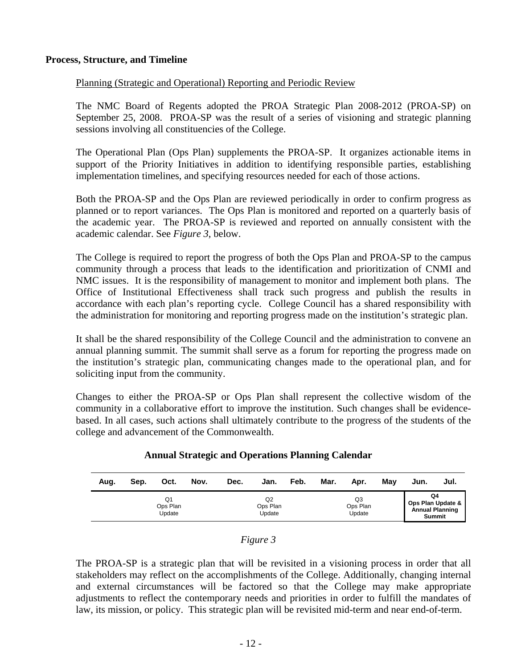## **Process, Structure, and Timeline**

## Planning (Strategic and Operational) Reporting and Periodic Review

The NMC Board of Regents adopted the PROA Strategic Plan 2008-2012 (PROA-SP) on September 25, 2008. PROA-SP was the result of a series of visioning and strategic planning sessions involving all constituencies of the College.

The Operational Plan (Ops Plan) supplements the PROA-SP. It organizes actionable items in support of the Priority Initiatives in addition to identifying responsible parties, establishing implementation timelines, and specifying resources needed for each of those actions.

Both the PROA-SP and the Ops Plan are reviewed periodically in order to confirm progress as planned or to report variances. The Ops Plan is monitored and reported on a quarterly basis of the academic year. The PROA-SP is reviewed and reported on annually consistent with the academic calendar. See *Figure 3*, below.

The College is required to report the progress of both the Ops Plan and PROA-SP to the campus community through a process that leads to the identification and prioritization of CNMI and NMC issues. It is the responsibility of management to monitor and implement both plans. The Office of Institutional Effectiveness shall track such progress and publish the results in accordance with each plan's reporting cycle. College Council has a shared responsibility with the administration for monitoring and reporting progress made on the institution's strategic plan.

It shall be the shared responsibility of the College Council and the administration to convene an annual planning summit. The summit shall serve as a forum for reporting the progress made on the institution's strategic plan, communicating changes made to the operational plan, and for soliciting input from the community.

Changes to either the PROA-SP or Ops Plan shall represent the collective wisdom of the community in a collaborative effort to improve the institution. Such changes shall be evidencebased. In all cases, such actions shall ultimately contribute to the progress of the students of the college and advancement of the Commonwealth.

| Aug. | Sep. | Oct.                     | Nov. | Dec. | Jan.                     | Feb. | Mar. | Apr.                     | Mav | Jun.                    | Jul.                                    |
|------|------|--------------------------|------|------|--------------------------|------|------|--------------------------|-----|-------------------------|-----------------------------------------|
|      |      | Q1<br>Ops Plan<br>Update |      |      | Q2<br>Ops Plan<br>Update |      |      | Q3<br>Ops Plan<br>Update |     | Q4<br>Ops Plan Update & | <b>Annual Planning</b><br><b>Summit</b> |

## **Annual Strategic and Operations Planning Calendar**

## *Figure 3*

The PROA-SP is a strategic plan that will be revisited in a visioning process in order that all stakeholders may reflect on the accomplishments of the College. Additionally, changing internal and external circumstances will be factored so that the College may make appropriate adjustments to reflect the contemporary needs and priorities in order to fulfill the mandates of law, its mission, or policy. This strategic plan will be revisited mid-term and near end-of-term.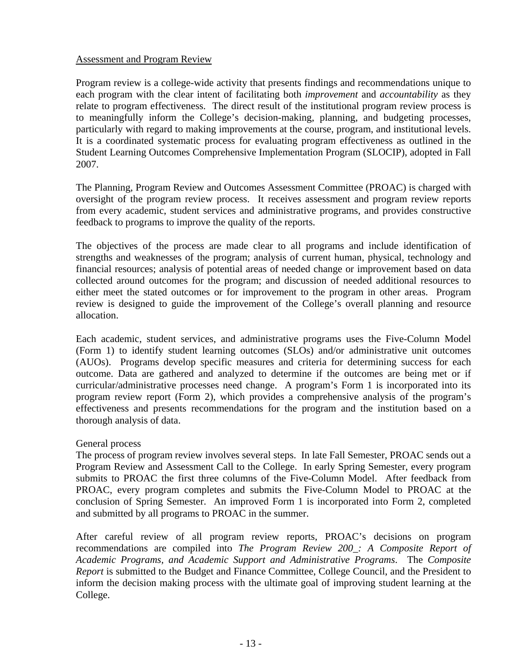## Assessment and Program Review

Program review is a college-wide activity that presents findings and recommendations unique to each program with the clear intent of facilitating both *improvement* and *accountability* as they relate to program effectiveness. The direct result of the institutional program review process is to meaningfully inform the College's decision-making, planning, and budgeting processes, particularly with regard to making improvements at the course, program, and institutional levels. It is a coordinated systematic process for evaluating program effectiveness as outlined in the Student Learning Outcomes Comprehensive Implementation Program (SLOCIP), adopted in Fall 2007.

The Planning, Program Review and Outcomes Assessment Committee (PROAC) is charged with oversight of the program review process. It receives assessment and program review reports from every academic, student services and administrative programs, and provides constructive feedback to programs to improve the quality of the reports.

The objectives of the process are made clear to all programs and include identification of strengths and weaknesses of the program; analysis of current human, physical, technology and financial resources; analysis of potential areas of needed change or improvement based on data collected around outcomes for the program; and discussion of needed additional resources to either meet the stated outcomes or for improvement to the program in other areas. Program review is designed to guide the improvement of the College's overall planning and resource allocation.

Each academic, student services, and administrative programs uses the Five-Column Model (Form 1) to identify student learning outcomes (SLOs) and/or administrative unit outcomes (AUOs). Programs develop specific measures and criteria for determining success for each outcome. Data are gathered and analyzed to determine if the outcomes are being met or if curricular/administrative processes need change. A program's Form 1 is incorporated into its program review report (Form 2), which provides a comprehensive analysis of the program's effectiveness and presents recommendations for the program and the institution based on a thorough analysis of data.

## General process

The process of program review involves several steps. In late Fall Semester, PROAC sends out a Program Review and Assessment Call to the College. In early Spring Semester, every program submits to PROAC the first three columns of the Five-Column Model. After feedback from PROAC, every program completes and submits the Five-Column Model to PROAC at the conclusion of Spring Semester. An improved Form 1 is incorporated into Form 2, completed and submitted by all programs to PROAC in the summer.

After careful review of all program review reports, PROAC's decisions on program recommendations are compiled into *The Program Review 200\_: A Composite Report of Academic Programs, and Academic Support and Administrative Programs*. The *Composite Report* is submitted to the Budget and Finance Committee, College Council, and the President to inform the decision making process with the ultimate goal of improving student learning at the College.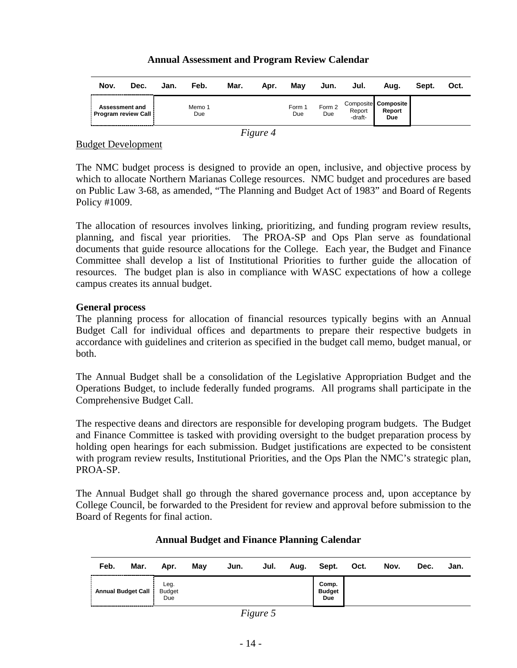## **Annual Assessment and Program Review Calendar**

| Nov.                                         | Dec. | Jan. | Feb.          | Mar. | Apr. | Mav           | Jun.          | Jul.              | Aua.                                 | Sept. | Oct. |
|----------------------------------------------|------|------|---------------|------|------|---------------|---------------|-------------------|--------------------------------------|-------|------|
| Assessment and<br><b>Program review Call</b> |      |      | Memo 1<br>Due |      |      | Form 1<br>Due | Form 2<br>Due | Report<br>-draft- | Composite Composite<br>Report<br>Due |       |      |

*Figure 4* 

## Budget Development

The NMC budget process is designed to provide an open, inclusive, and objective process by which to allocate Northern Marianas College resources. NMC budget and procedures are based on Public Law 3-68, as amended, "The Planning and Budget Act of 1983" and Board of Regents Policy #1009.

The allocation of resources involves linking, prioritizing, and funding program review results, planning, and fiscal year priorities. The PROA-SP and Ops Plan serve as foundational documents that guide resource allocations for the College. Each year, the Budget and Finance Committee shall develop a list of Institutional Priorities to further guide the allocation of resources. The budget plan is also in compliance with WASC expectations of how a college campus creates its annual budget.

## **General process**

The planning process for allocation of financial resources typically begins with an Annual Budget Call for individual offices and departments to prepare their respective budgets in accordance with guidelines and criterion as specified in the budget call memo, budget manual, or both.

The Annual Budget shall be a consolidation of the Legislative Appropriation Budget and the Operations Budget, to include federally funded programs. All programs shall participate in the Comprehensive Budget Call.

The respective deans and directors are responsible for developing program budgets. The Budget and Finance Committee is tasked with providing oversight to the budget preparation process by holding open hearings for each submission. Budget justifications are expected to be consistent with program review results, Institutional Priorities, and the Ops Plan the NMC's strategic plan, PROA-SP.

The Annual Budget shall go through the shared governance process and, upon acceptance by College Council, be forwarded to the President for review and approval before submission to the Board of Regents for final action.

| Feb.                                                               | Mar. | Apr.                         | May | Jun. | Jul. | Aug. | Sept.                         | Oct. | Nov. | Dec. | Jan. |
|--------------------------------------------------------------------|------|------------------------------|-----|------|------|------|-------------------------------|------|------|------|------|
| <b>Annual Budget Call</b><br>------------------------------------- |      | Leg.<br><b>Budget</b><br>Due |     |      |      |      | Comp.<br><b>Budget</b><br>Due |      |      |      |      |

## **Annual Budget and Finance Planning Calendar**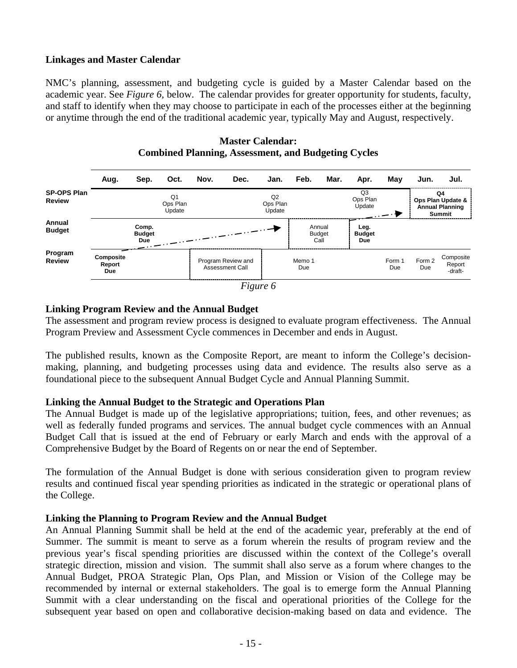## **Linkages and Master Calendar**

NMC's planning, assessment, and budgeting cycle is guided by a Master Calendar based on the academic year. See *Figure 6,* below. The calendar provides for greater opportunity for students, faculty, and staff to identify when they may choose to participate in each of the processes either at the beginning or anytime through the end of the traditional academic year, typically May and August, respectively.





## **Linking Program Review and the Annual Budget**

The assessment and program review process is designed to evaluate program effectiveness. The Annual Program Preview and Assessment Cycle commences in December and ends in August.

The published results, known as the Composite Report, are meant to inform the College's decisionmaking, planning, and budgeting processes using data and evidence. The results also serve as a foundational piece to the subsequent Annual Budget Cycle and Annual Planning Summit.

## **Linking the Annual Budget to the Strategic and Operations Plan**

The Annual Budget is made up of the legislative appropriations; tuition, fees, and other revenues; as well as federally funded programs and services. The annual budget cycle commences with an Annual Budget Call that is issued at the end of February or early March and ends with the approval of a Comprehensive Budget by the Board of Regents on or near the end of September.

The formulation of the Annual Budget is done with serious consideration given to program review results and continued fiscal year spending priorities as indicated in the strategic or operational plans of the College.

## **Linking the Planning to Program Review and the Annual Budget**

An Annual Planning Summit shall be held at the end of the academic year, preferably at the end of Summer. The summit is meant to serve as a forum wherein the results of program review and the previous year's fiscal spending priorities are discussed within the context of the College's overall strategic direction, mission and vision. The summit shall also serve as a forum where changes to the Annual Budget, PROA Strategic Plan, Ops Plan, and Mission or Vision of the College may be recommended by internal or external stakeholders. The goal is to emerge form the Annual Planning Summit with a clear understanding on the fiscal and operational priorities of the College for the subsequent year based on open and collaborative decision-making based on data and evidence. The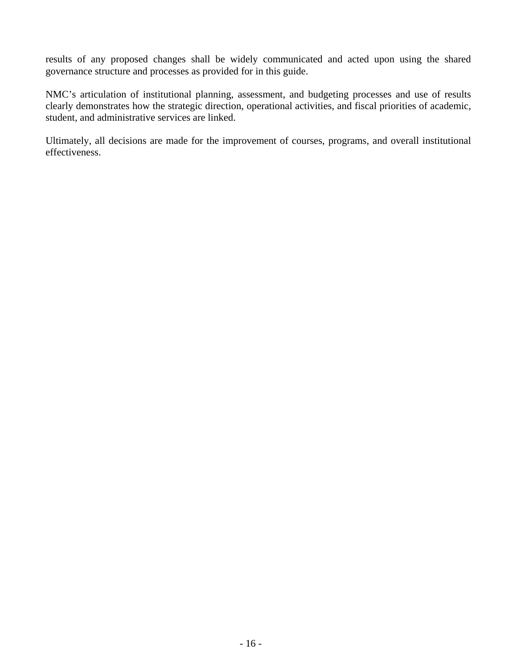results of any proposed changes shall be widely communicated and acted upon using the shared governance structure and processes as provided for in this guide.

NMC's articulation of institutional planning, assessment, and budgeting processes and use of results clearly demonstrates how the strategic direction, operational activities, and fiscal priorities of academic, student, and administrative services are linked.

Ultimately, all decisions are made for the improvement of courses, programs, and overall institutional effectiveness.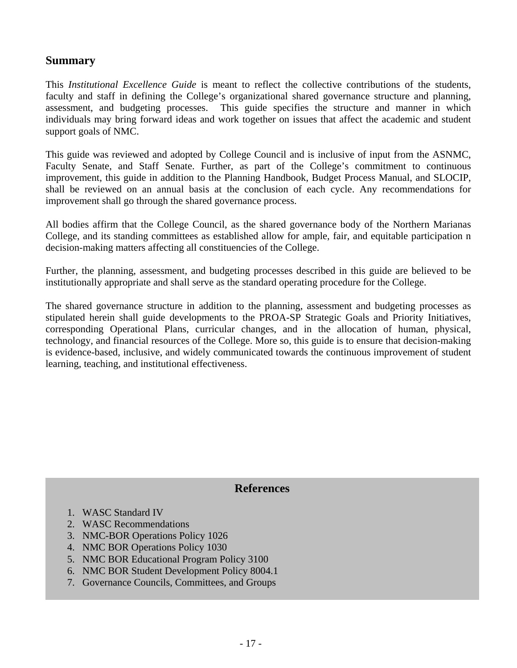## **Summary**

This *Institutional Excellence Guide* is meant to reflect the collective contributions of the students, faculty and staff in defining the College's organizational shared governance structure and planning, assessment, and budgeting processes. This guide specifies the structure and manner in which individuals may bring forward ideas and work together on issues that affect the academic and student support goals of NMC.

This guide was reviewed and adopted by College Council and is inclusive of input from the ASNMC, Faculty Senate, and Staff Senate. Further, as part of the College's commitment to continuous improvement, this guide in addition to the Planning Handbook, Budget Process Manual, and SLOCIP, shall be reviewed on an annual basis at the conclusion of each cycle. Any recommendations for improvement shall go through the shared governance process.

All bodies affirm that the College Council, as the shared governance body of the Northern Marianas College, and its standing committees as established allow for ample, fair, and equitable participation n decision-making matters affecting all constituencies of the College.

Further, the planning, assessment, and budgeting processes described in this guide are believed to be institutionally appropriate and shall serve as the standard operating procedure for the College.

The shared governance structure in addition to the planning, assessment and budgeting processes as stipulated herein shall guide developments to the PROA-SP Strategic Goals and Priority Initiatives, corresponding Operational Plans, curricular changes, and in the allocation of human, physical, technology, and financial resources of the College. More so, this guide is to ensure that decision-making is evidence-based, inclusive, and widely communicated towards the continuous improvement of student learning, teaching, and institutional effectiveness.

## **References**

- 1. WASC Standard IV
- 2. WASC Recommendations
- 3. NMC-BOR Operations Policy 1026
- 4. NMC BOR Operations Policy 1030
- 5. NMC BOR Educational Program Policy 3100
- 6. NMC BOR Student Development Policy 8004.1
- 7. Governance Councils, Committees, and Groups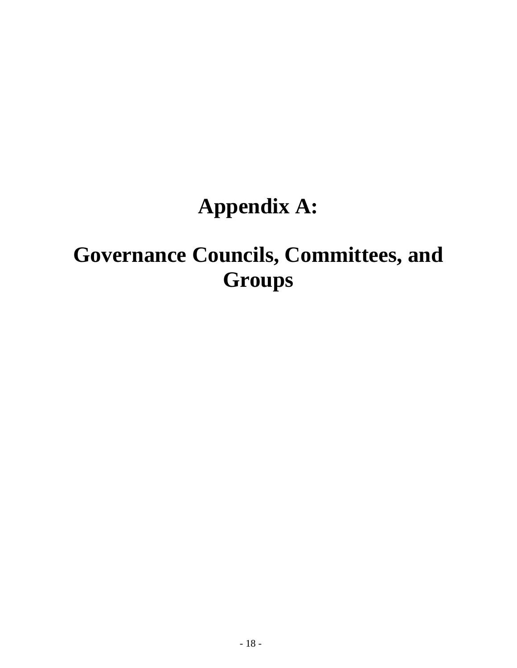# **Appendix A:**

## **Governance Councils, Committees, and Groups**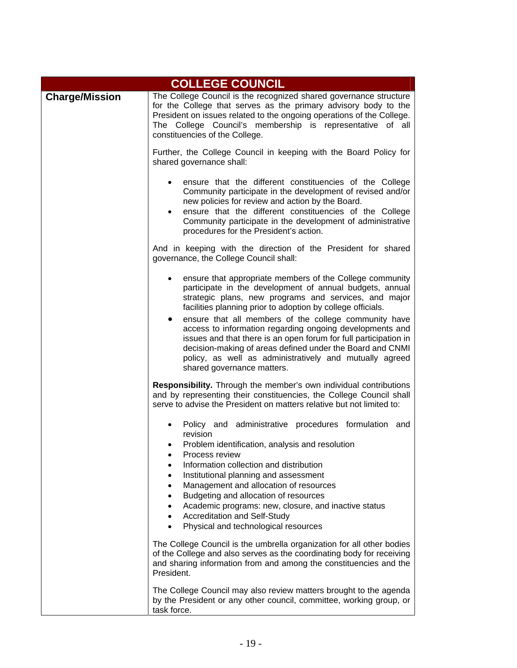| <b>COLLEGE COUNCIL</b> |                                                                                                                                                                                                                                                                                                                                                                                                                                                                                                                                                                                                                       |  |  |  |
|------------------------|-----------------------------------------------------------------------------------------------------------------------------------------------------------------------------------------------------------------------------------------------------------------------------------------------------------------------------------------------------------------------------------------------------------------------------------------------------------------------------------------------------------------------------------------------------------------------------------------------------------------------|--|--|--|
| <b>Charge/Mission</b>  | The College Council is the recognized shared governance structure<br>for the College that serves as the primary advisory body to the<br>President on issues related to the ongoing operations of the College.<br>The College Council's membership is representative of all<br>constituencies of the College.                                                                                                                                                                                                                                                                                                          |  |  |  |
|                        | Further, the College Council in keeping with the Board Policy for<br>shared governance shall:                                                                                                                                                                                                                                                                                                                                                                                                                                                                                                                         |  |  |  |
|                        | ensure that the different constituencies of the College<br>$\bullet$<br>Community participate in the development of revised and/or<br>new policies for review and action by the Board.<br>ensure that the different constituencies of the College<br>$\bullet$<br>Community participate in the development of administrative<br>procedures for the President's action.                                                                                                                                                                                                                                                |  |  |  |
|                        | And in keeping with the direction of the President for shared<br>governance, the College Council shall:                                                                                                                                                                                                                                                                                                                                                                                                                                                                                                               |  |  |  |
|                        | ensure that appropriate members of the College community<br>$\bullet$<br>participate in the development of annual budgets, annual<br>strategic plans, new programs and services, and major<br>facilities planning prior to adoption by college officials.<br>ensure that all members of the college community have<br>$\bullet$<br>access to information regarding ongoing developments and<br>issues and that there is an open forum for full participation in<br>decision-making of areas defined under the Board and CNMI<br>policy, as well as administratively and mutually agreed<br>shared governance matters. |  |  |  |
|                        | <b>Responsibility.</b> Through the member's own individual contributions<br>and by representing their constituencies, the College Council shall<br>serve to advise the President on matters relative but not limited to:                                                                                                                                                                                                                                                                                                                                                                                              |  |  |  |
|                        | Policy and administrative procedures formulation and<br>$\bullet$<br>revision<br>Problem identification, analysis and resolution<br>Process review<br>Information collection and distribution<br>٠<br>Institutional planning and assessment<br>$\bullet$<br>Management and allocation of resources<br>$\bullet$<br>Budgeting and allocation of resources<br>Academic programs: new, closure, and inactive status<br>$\bullet$<br>Accreditation and Self-Study<br>Physical and technological resources                                                                                                                 |  |  |  |
|                        | The College Council is the umbrella organization for all other bodies<br>of the College and also serves as the coordinating body for receiving<br>and sharing information from and among the constituencies and the<br>President.                                                                                                                                                                                                                                                                                                                                                                                     |  |  |  |
|                        | The College Council may also review matters brought to the agenda<br>by the President or any other council, committee, working group, or<br>task force.                                                                                                                                                                                                                                                                                                                                                                                                                                                               |  |  |  |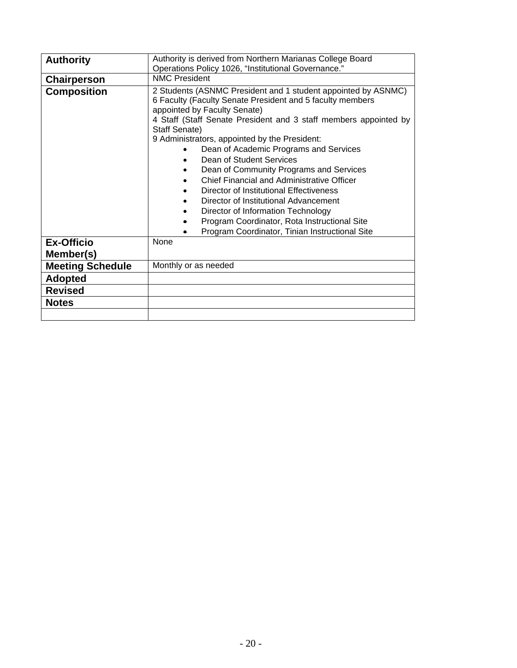| <b>Authority</b>               | Authority is derived from Northern Marianas College Board<br>Operations Policy 1026, "Institutional Governance."                                                                                                                                                                                                                                                                                                                                                                                                                                                                                                                                                                                   |  |  |  |  |
|--------------------------------|----------------------------------------------------------------------------------------------------------------------------------------------------------------------------------------------------------------------------------------------------------------------------------------------------------------------------------------------------------------------------------------------------------------------------------------------------------------------------------------------------------------------------------------------------------------------------------------------------------------------------------------------------------------------------------------------------|--|--|--|--|
| Chairperson                    | <b>NMC President</b>                                                                                                                                                                                                                                                                                                                                                                                                                                                                                                                                                                                                                                                                               |  |  |  |  |
| <b>Composition</b>             | 2 Students (ASNMC President and 1 student appointed by ASNMC)<br>6 Faculty (Faculty Senate President and 5 faculty members<br>appointed by Faculty Senate)<br>4 Staff (Staff Senate President and 3 staff members appointed by<br><b>Staff Senate)</b><br>9 Administrators, appointed by the President:<br>Dean of Academic Programs and Services<br>Dean of Student Services<br>Dean of Community Programs and Services<br>Chief Financial and Administrative Officer<br>Director of Institutional Effectiveness<br>Director of Institutional Advancement<br>Director of Information Technology<br>Program Coordinator, Rota Instructional Site<br>Program Coordinator, Tinian Instructional Site |  |  |  |  |
| <b>Ex-Officio</b><br>Member(s) | None                                                                                                                                                                                                                                                                                                                                                                                                                                                                                                                                                                                                                                                                                               |  |  |  |  |
| <b>Meeting Schedule</b>        | Monthly or as needed                                                                                                                                                                                                                                                                                                                                                                                                                                                                                                                                                                                                                                                                               |  |  |  |  |
| <b>Adopted</b>                 |                                                                                                                                                                                                                                                                                                                                                                                                                                                                                                                                                                                                                                                                                                    |  |  |  |  |
| <b>Revised</b>                 |                                                                                                                                                                                                                                                                                                                                                                                                                                                                                                                                                                                                                                                                                                    |  |  |  |  |
| <b>Notes</b>                   |                                                                                                                                                                                                                                                                                                                                                                                                                                                                                                                                                                                                                                                                                                    |  |  |  |  |
|                                |                                                                                                                                                                                                                                                                                                                                                                                                                                                                                                                                                                                                                                                                                                    |  |  |  |  |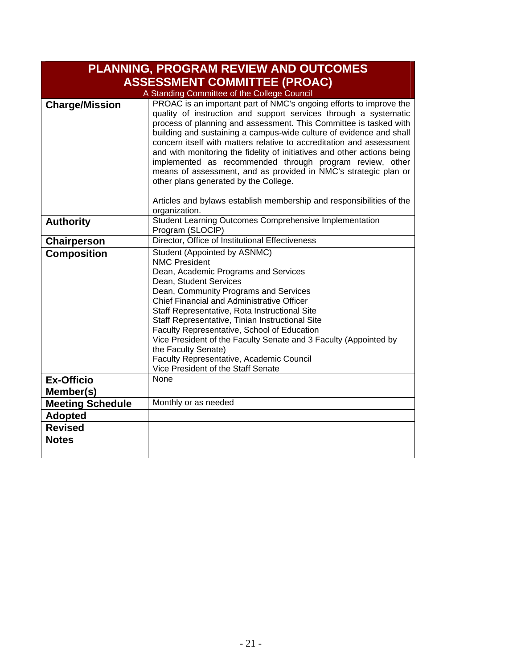| PLANNING, PROGRAM REVIEW AND OUTCOMES |                                                                                                                                                                                                                                                                                                                                                                                                                                                                                                                                                                                                               |  |  |  |
|---------------------------------------|---------------------------------------------------------------------------------------------------------------------------------------------------------------------------------------------------------------------------------------------------------------------------------------------------------------------------------------------------------------------------------------------------------------------------------------------------------------------------------------------------------------------------------------------------------------------------------------------------------------|--|--|--|
|                                       | <b>ASSESSMENT COMMITTEE (PROAC)</b>                                                                                                                                                                                                                                                                                                                                                                                                                                                                                                                                                                           |  |  |  |
|                                       | A Standing Committee of the College Council                                                                                                                                                                                                                                                                                                                                                                                                                                                                                                                                                                   |  |  |  |
| <b>Charge/Mission</b>                 | PROAC is an important part of NMC's ongoing efforts to improve the<br>quality of instruction and support services through a systematic<br>process of planning and assessment. This Committee is tasked with<br>building and sustaining a campus-wide culture of evidence and shall<br>concern itself with matters relative to accreditation and assessment<br>and with monitoring the fidelity of initiatives and other actions being<br>implemented as recommended through program review, other<br>means of assessment, and as provided in NMC's strategic plan or<br>other plans generated by the College. |  |  |  |
|                                       | Articles and bylaws establish membership and responsibilities of the<br>organization.                                                                                                                                                                                                                                                                                                                                                                                                                                                                                                                         |  |  |  |
| <b>Authority</b>                      | Student Learning Outcomes Comprehensive Implementation<br>Program (SLOCIP)                                                                                                                                                                                                                                                                                                                                                                                                                                                                                                                                    |  |  |  |
| Chairperson                           | Director, Office of Institutional Effectiveness                                                                                                                                                                                                                                                                                                                                                                                                                                                                                                                                                               |  |  |  |
| <b>Composition</b>                    | Student (Appointed by ASNMC)<br><b>NMC President</b><br>Dean, Academic Programs and Services<br>Dean, Student Services<br>Dean, Community Programs and Services<br><b>Chief Financial and Administrative Officer</b><br>Staff Representative, Rota Instructional Site<br>Staff Representative, Tinian Instructional Site<br>Faculty Representative, School of Education<br>Vice President of the Faculty Senate and 3 Faculty (Appointed by<br>the Faculty Senate)<br>Faculty Representative, Academic Council<br>Vice President of the Staff Senate                                                          |  |  |  |
| <b>Ex-Officio</b>                     | <b>None</b>                                                                                                                                                                                                                                                                                                                                                                                                                                                                                                                                                                                                   |  |  |  |
| Member(s)                             |                                                                                                                                                                                                                                                                                                                                                                                                                                                                                                                                                                                                               |  |  |  |
| <b>Meeting Schedule</b>               | Monthly or as needed                                                                                                                                                                                                                                                                                                                                                                                                                                                                                                                                                                                          |  |  |  |
| <b>Adopted</b>                        |                                                                                                                                                                                                                                                                                                                                                                                                                                                                                                                                                                                                               |  |  |  |
| <b>Revised</b>                        |                                                                                                                                                                                                                                                                                                                                                                                                                                                                                                                                                                                                               |  |  |  |
| <b>Notes</b>                          |                                                                                                                                                                                                                                                                                                                                                                                                                                                                                                                                                                                                               |  |  |  |
|                                       |                                                                                                                                                                                                                                                                                                                                                                                                                                                                                                                                                                                                               |  |  |  |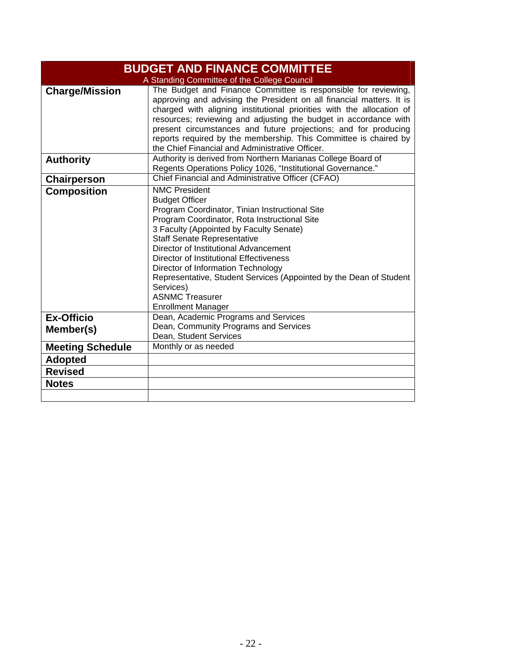| <b>BUDGET AND FINANCE COMMITTEE</b> |                                                                                                                                                                                                                                                                                                                                                                                                                                                                                                      |  |  |  |
|-------------------------------------|------------------------------------------------------------------------------------------------------------------------------------------------------------------------------------------------------------------------------------------------------------------------------------------------------------------------------------------------------------------------------------------------------------------------------------------------------------------------------------------------------|--|--|--|
|                                     | A Standing Committee of the College Council                                                                                                                                                                                                                                                                                                                                                                                                                                                          |  |  |  |
| <b>Charge/Mission</b>               | The Budget and Finance Committee is responsible for reviewing,<br>approving and advising the President on all financial matters. It is<br>charged with aligning institutional priorities with the allocation of<br>resources; reviewing and adjusting the budget in accordance with<br>present circumstances and future projections; and for producing<br>reports required by the membership. This Committee is chaired by<br>the Chief Financial and Administrative Officer.                        |  |  |  |
| <b>Authority</b>                    | Authority is derived from Northern Marianas College Board of<br>Regents Operations Policy 1026, "Institutional Governance."                                                                                                                                                                                                                                                                                                                                                                          |  |  |  |
| Chairperson                         | Chief Financial and Administrative Officer (CFAO)                                                                                                                                                                                                                                                                                                                                                                                                                                                    |  |  |  |
| <b>Composition</b>                  | <b>NMC President</b><br><b>Budget Officer</b><br>Program Coordinator, Tinian Instructional Site<br>Program Coordinator, Rota Instructional Site<br>3 Faculty (Appointed by Faculty Senate)<br><b>Staff Senate Representative</b><br>Director of Institutional Advancement<br>Director of Institutional Effectiveness<br>Director of Information Technology<br>Representative, Student Services (Appointed by the Dean of Student<br>Services)<br><b>ASNMC Treasurer</b><br><b>Enrollment Manager</b> |  |  |  |
| <b>Ex-Officio</b>                   | Dean, Academic Programs and Services                                                                                                                                                                                                                                                                                                                                                                                                                                                                 |  |  |  |
| Member(s)                           | Dean, Community Programs and Services<br>Dean, Student Services                                                                                                                                                                                                                                                                                                                                                                                                                                      |  |  |  |
| <b>Meeting Schedule</b>             | Monthly or as needed                                                                                                                                                                                                                                                                                                                                                                                                                                                                                 |  |  |  |
| <b>Adopted</b>                      |                                                                                                                                                                                                                                                                                                                                                                                                                                                                                                      |  |  |  |
| <b>Revised</b>                      |                                                                                                                                                                                                                                                                                                                                                                                                                                                                                                      |  |  |  |
| <b>Notes</b>                        |                                                                                                                                                                                                                                                                                                                                                                                                                                                                                                      |  |  |  |
|                                     |                                                                                                                                                                                                                                                                                                                                                                                                                                                                                                      |  |  |  |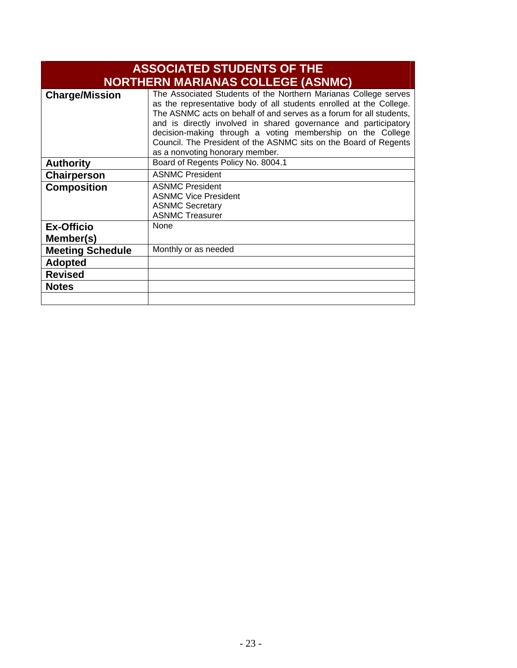| <b>ASSOCIATED STUDENTS OF THE</b><br><b>NORTHERN MARIANAS COLLEGE (ASNMC)</b> |                                                                                                                                                                                                                                                                                                                                                                                                                                                       |  |  |  |
|-------------------------------------------------------------------------------|-------------------------------------------------------------------------------------------------------------------------------------------------------------------------------------------------------------------------------------------------------------------------------------------------------------------------------------------------------------------------------------------------------------------------------------------------------|--|--|--|
| <b>Charge/Mission</b>                                                         | The Associated Students of the Northern Marianas College serves<br>as the representative body of all students enrolled at the College.<br>The ASNMC acts on behalf of and serves as a forum for all students,<br>and is directly involved in shared governance and participatory<br>decision-making through a voting membership on the College<br>Council. The President of the ASNMC sits on the Board of Regents<br>as a nonvoting honorary member. |  |  |  |
| <b>Authority</b>                                                              | Board of Regents Policy No. 8004.1                                                                                                                                                                                                                                                                                                                                                                                                                    |  |  |  |
| <b>Chairperson</b>                                                            | <b>ASNMC President</b>                                                                                                                                                                                                                                                                                                                                                                                                                                |  |  |  |
| <b>Composition</b>                                                            | <b>ASNMC President</b><br><b>ASNMC Vice President</b><br><b>ASNMC Secretary</b><br><b>ASNMC Treasurer</b>                                                                                                                                                                                                                                                                                                                                             |  |  |  |
| <b>Ex-Officio</b><br>Member(s)                                                | <b>None</b>                                                                                                                                                                                                                                                                                                                                                                                                                                           |  |  |  |
| <b>Meeting Schedule</b>                                                       | Monthly or as needed                                                                                                                                                                                                                                                                                                                                                                                                                                  |  |  |  |
| <b>Adopted</b>                                                                |                                                                                                                                                                                                                                                                                                                                                                                                                                                       |  |  |  |
| <b>Revised</b>                                                                |                                                                                                                                                                                                                                                                                                                                                                                                                                                       |  |  |  |
| <b>Notes</b>                                                                  |                                                                                                                                                                                                                                                                                                                                                                                                                                                       |  |  |  |
|                                                                               |                                                                                                                                                                                                                                                                                                                                                                                                                                                       |  |  |  |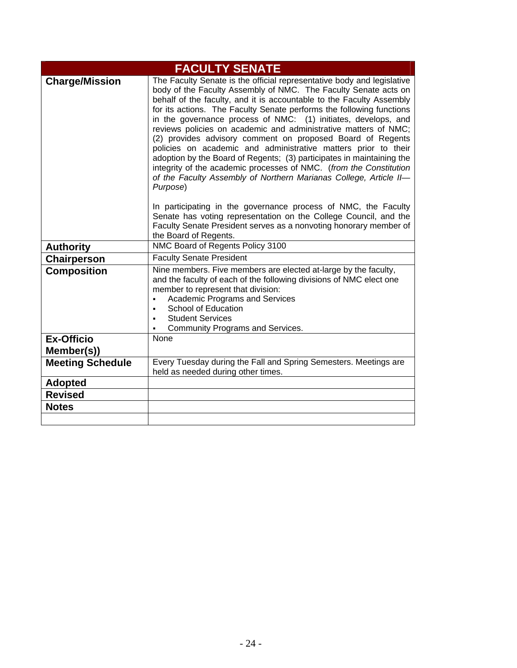|                         | <b>FACULTY SENATE</b>                                                                                                                                                                                                                                                                                                                                                                                                                                                                                                                                                                                                                                                                                                                                                                          |
|-------------------------|------------------------------------------------------------------------------------------------------------------------------------------------------------------------------------------------------------------------------------------------------------------------------------------------------------------------------------------------------------------------------------------------------------------------------------------------------------------------------------------------------------------------------------------------------------------------------------------------------------------------------------------------------------------------------------------------------------------------------------------------------------------------------------------------|
| <b>Charge/Mission</b>   | The Faculty Senate is the official representative body and legislative<br>body of the Faculty Assembly of NMC. The Faculty Senate acts on<br>behalf of the faculty, and it is accountable to the Faculty Assembly<br>for its actions. The Faculty Senate performs the following functions<br>in the governance process of NMC: (1) initiates, develops, and<br>reviews policies on academic and administrative matters of NMC;<br>(2) provides advisory comment on proposed Board of Regents<br>policies on academic and administrative matters prior to their<br>adoption by the Board of Regents; (3) participates in maintaining the<br>integrity of the academic processes of NMC. (from the Constitution<br>of the Faculty Assembly of Northern Marianas College, Article II-<br>Purpose) |
|                         | In participating in the governance process of NMC, the Faculty<br>Senate has voting representation on the College Council, and the<br>Faculty Senate President serves as a nonvoting honorary member of<br>the Board of Regents.                                                                                                                                                                                                                                                                                                                                                                                                                                                                                                                                                               |
| <b>Authority</b>        | NMC Board of Regents Policy 3100                                                                                                                                                                                                                                                                                                                                                                                                                                                                                                                                                                                                                                                                                                                                                               |
| <b>Chairperson</b>      | <b>Faculty Senate President</b>                                                                                                                                                                                                                                                                                                                                                                                                                                                                                                                                                                                                                                                                                                                                                                |
| <b>Composition</b>      | Nine members. Five members are elected at-large by the faculty,<br>and the faculty of each of the following divisions of NMC elect one<br>member to represent that division:<br><b>Academic Programs and Services</b><br>School of Education<br>п<br><b>Student Services</b><br>Community Programs and Services.                                                                                                                                                                                                                                                                                                                                                                                                                                                                               |
| <b>Ex-Officio</b>       | None                                                                                                                                                                                                                                                                                                                                                                                                                                                                                                                                                                                                                                                                                                                                                                                           |
| Member(s))              |                                                                                                                                                                                                                                                                                                                                                                                                                                                                                                                                                                                                                                                                                                                                                                                                |
| <b>Meeting Schedule</b> | Every Tuesday during the Fall and Spring Semesters. Meetings are<br>held as needed during other times.                                                                                                                                                                                                                                                                                                                                                                                                                                                                                                                                                                                                                                                                                         |
| <b>Adopted</b>          |                                                                                                                                                                                                                                                                                                                                                                                                                                                                                                                                                                                                                                                                                                                                                                                                |
| <b>Revised</b>          |                                                                                                                                                                                                                                                                                                                                                                                                                                                                                                                                                                                                                                                                                                                                                                                                |
| <b>Notes</b>            |                                                                                                                                                                                                                                                                                                                                                                                                                                                                                                                                                                                                                                                                                                                                                                                                |
|                         |                                                                                                                                                                                                                                                                                                                                                                                                                                                                                                                                                                                                                                                                                                                                                                                                |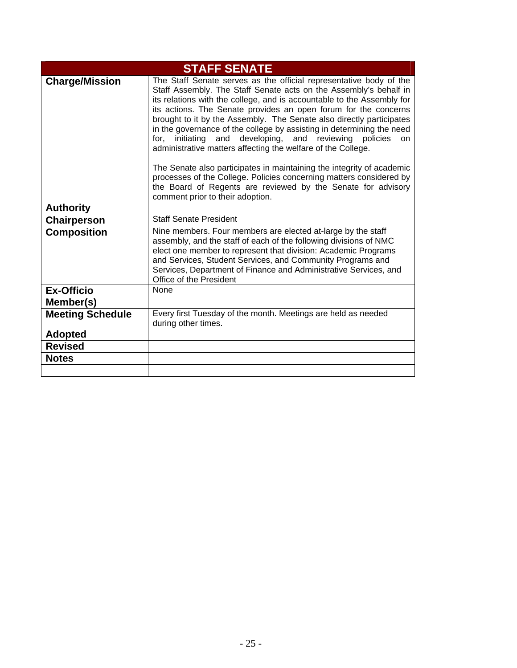| <b>STAFF SENATE</b>     |                                                                                                                                                                                                                                                                                                                                                                                                                                                                                                                                                                                             |
|-------------------------|---------------------------------------------------------------------------------------------------------------------------------------------------------------------------------------------------------------------------------------------------------------------------------------------------------------------------------------------------------------------------------------------------------------------------------------------------------------------------------------------------------------------------------------------------------------------------------------------|
| <b>Charge/Mission</b>   | The Staff Senate serves as the official representative body of the<br>Staff Assembly. The Staff Senate acts on the Assembly's behalf in<br>its relations with the college, and is accountable to the Assembly for<br>its actions. The Senate provides an open forum for the concerns<br>brought to it by the Assembly. The Senate also directly participates<br>in the governance of the college by assisting in determining the need<br>developing, and<br>initiating<br>and<br>reviewing<br>policies<br>for.<br><b>on</b><br>administrative matters affecting the welfare of the College. |
|                         | The Senate also participates in maintaining the integrity of academic<br>processes of the College. Policies concerning matters considered by<br>the Board of Regents are reviewed by the Senate for advisory<br>comment prior to their adoption.                                                                                                                                                                                                                                                                                                                                            |
| <b>Authority</b>        |                                                                                                                                                                                                                                                                                                                                                                                                                                                                                                                                                                                             |
| Chairperson             | <b>Staff Senate President</b>                                                                                                                                                                                                                                                                                                                                                                                                                                                                                                                                                               |
| <b>Composition</b>      | Nine members. Four members are elected at-large by the staff<br>assembly, and the staff of each of the following divisions of NMC<br>elect one member to represent that division: Academic Programs<br>and Services, Student Services, and Community Programs and<br>Services, Department of Finance and Administrative Services, and<br>Office of the President                                                                                                                                                                                                                            |
| <b>Ex-Officio</b>       | <b>None</b>                                                                                                                                                                                                                                                                                                                                                                                                                                                                                                                                                                                 |
| Member(s)               | Every first Tuesday of the month. Meetings are held as needed                                                                                                                                                                                                                                                                                                                                                                                                                                                                                                                               |
| <b>Meeting Schedule</b> | during other times.                                                                                                                                                                                                                                                                                                                                                                                                                                                                                                                                                                         |
| <b>Adopted</b>          |                                                                                                                                                                                                                                                                                                                                                                                                                                                                                                                                                                                             |
| <b>Revised</b>          |                                                                                                                                                                                                                                                                                                                                                                                                                                                                                                                                                                                             |
| <b>Notes</b>            |                                                                                                                                                                                                                                                                                                                                                                                                                                                                                                                                                                                             |
|                         |                                                                                                                                                                                                                                                                                                                                                                                                                                                                                                                                                                                             |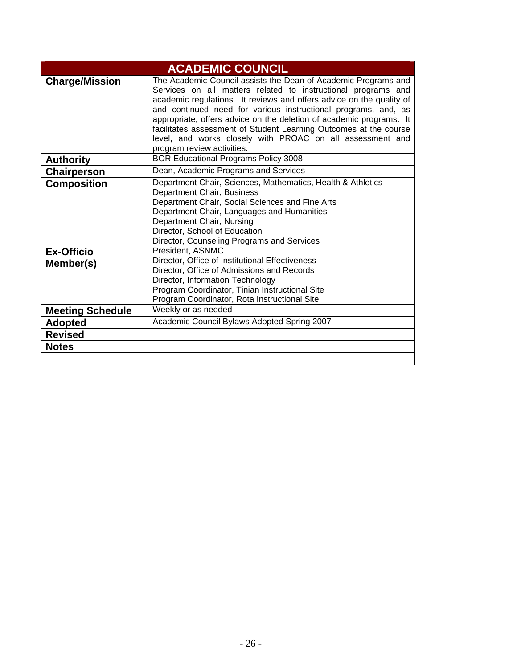| <b>ACADEMIC COUNCIL</b>        |                                                                                                                                                                                                                                                                                                                                                                                                                                                                                                                  |  |
|--------------------------------|------------------------------------------------------------------------------------------------------------------------------------------------------------------------------------------------------------------------------------------------------------------------------------------------------------------------------------------------------------------------------------------------------------------------------------------------------------------------------------------------------------------|--|
| <b>Charge/Mission</b>          | The Academic Council assists the Dean of Academic Programs and<br>Services on all matters related to instructional programs and<br>academic regulations. It reviews and offers advice on the quality of<br>and continued need for various instructional programs, and, as<br>appropriate, offers advice on the deletion of academic programs. It<br>facilitates assessment of Student Learning Outcomes at the course<br>level, and works closely with PROAC on all assessment and<br>program review activities. |  |
| <b>Authority</b>               | <b>BOR Educational Programs Policy 3008</b>                                                                                                                                                                                                                                                                                                                                                                                                                                                                      |  |
| Chairperson                    | Dean, Academic Programs and Services                                                                                                                                                                                                                                                                                                                                                                                                                                                                             |  |
| <b>Composition</b>             | Department Chair, Sciences, Mathematics, Health & Athletics<br>Department Chair, Business<br>Department Chair, Social Sciences and Fine Arts<br>Department Chair, Languages and Humanities<br>Department Chair, Nursing<br>Director, School of Education<br>Director, Counseling Programs and Services                                                                                                                                                                                                           |  |
| <b>Ex-Officio</b><br>Member(s) | President, ASNMC<br>Director, Office of Institutional Effectiveness<br>Director, Office of Admissions and Records<br>Director, Information Technology<br>Program Coordinator, Tinian Instructional Site<br>Program Coordinator, Rota Instructional Site                                                                                                                                                                                                                                                          |  |
| <b>Meeting Schedule</b>        | Weekly or as needed                                                                                                                                                                                                                                                                                                                                                                                                                                                                                              |  |
| <b>Adopted</b>                 | Academic Council Bylaws Adopted Spring 2007                                                                                                                                                                                                                                                                                                                                                                                                                                                                      |  |
| <b>Revised</b>                 |                                                                                                                                                                                                                                                                                                                                                                                                                                                                                                                  |  |
| <b>Notes</b>                   |                                                                                                                                                                                                                                                                                                                                                                                                                                                                                                                  |  |
|                                |                                                                                                                                                                                                                                                                                                                                                                                                                                                                                                                  |  |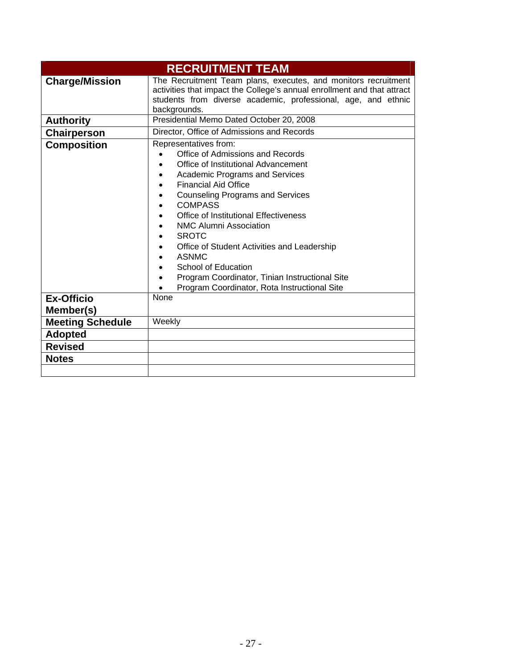| <b>RECRUITMENT TEAM</b> |                                                                                                                                                                                                                                                                                                                                                                                                                                                                                                                 |
|-------------------------|-----------------------------------------------------------------------------------------------------------------------------------------------------------------------------------------------------------------------------------------------------------------------------------------------------------------------------------------------------------------------------------------------------------------------------------------------------------------------------------------------------------------|
| <b>Charge/Mission</b>   | The Recruitment Team plans, executes, and monitors recruitment<br>activities that impact the College's annual enrollment and that attract<br>students from diverse academic, professional, age, and ethnic<br>backgrounds.                                                                                                                                                                                                                                                                                      |
| <b>Authority</b>        | Presidential Memo Dated October 20, 2008                                                                                                                                                                                                                                                                                                                                                                                                                                                                        |
| <b>Chairperson</b>      | Director, Office of Admissions and Records                                                                                                                                                                                                                                                                                                                                                                                                                                                                      |
| <b>Composition</b>      | Representatives from:<br>Office of Admissions and Records<br>Office of Institutional Advancement<br>Academic Programs and Services<br>$\bullet$<br><b>Financial Aid Office</b><br><b>Counseling Programs and Services</b><br><b>COMPASS</b><br>Office of Institutional Effectiveness<br>NMC Alumni Association<br><b>SROTC</b><br>Office of Student Activities and Leadership<br>ASNMC<br>School of Education<br>Program Coordinator, Tinian Instructional Site<br>Program Coordinator, Rota Instructional Site |
| <b>Ex-Officio</b>       | None                                                                                                                                                                                                                                                                                                                                                                                                                                                                                                            |
| Member(s)               |                                                                                                                                                                                                                                                                                                                                                                                                                                                                                                                 |
| <b>Meeting Schedule</b> | Weekly                                                                                                                                                                                                                                                                                                                                                                                                                                                                                                          |
| <b>Adopted</b>          |                                                                                                                                                                                                                                                                                                                                                                                                                                                                                                                 |
| <b>Revised</b>          |                                                                                                                                                                                                                                                                                                                                                                                                                                                                                                                 |
| <b>Notes</b>            |                                                                                                                                                                                                                                                                                                                                                                                                                                                                                                                 |
|                         |                                                                                                                                                                                                                                                                                                                                                                                                                                                                                                                 |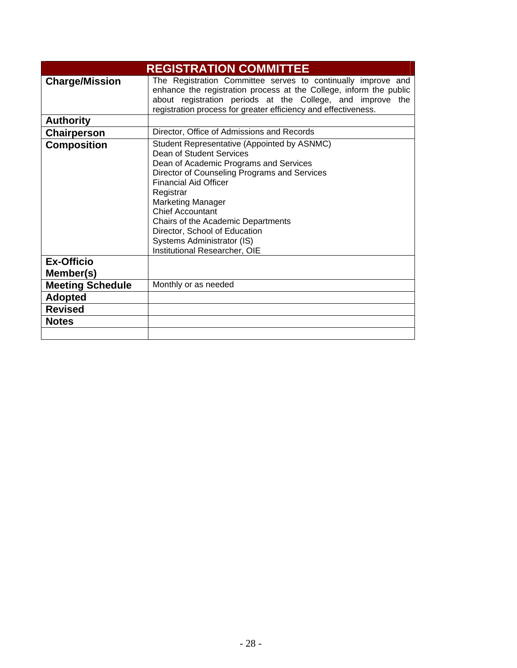| <b>REGISTRATION COMMITTEE</b>        |                                                                                                                                                                                                                                                                                                                                                                                                             |
|--------------------------------------|-------------------------------------------------------------------------------------------------------------------------------------------------------------------------------------------------------------------------------------------------------------------------------------------------------------------------------------------------------------------------------------------------------------|
| <b>Charge/Mission</b>                | The Registration Committee serves to continually improve and<br>enhance the registration process at the College, inform the public<br>about registration periods at the College, and improve the<br>registration process for greater efficiency and effectiveness.                                                                                                                                          |
| <b>Authority</b>                     |                                                                                                                                                                                                                                                                                                                                                                                                             |
| Chairperson                          | Director, Office of Admissions and Records                                                                                                                                                                                                                                                                                                                                                                  |
| <b>Composition</b>                   | Student Representative (Appointed by ASNMC)<br>Dean of Student Services<br>Dean of Academic Programs and Services<br>Director of Counseling Programs and Services<br><b>Financial Aid Officer</b><br>Registrar<br><b>Marketing Manager</b><br><b>Chief Accountant</b><br>Chairs of the Academic Departments<br>Director, School of Education<br>Systems Administrator (IS)<br>Institutional Researcher, OIE |
| <b>Ex-Officio</b>                    |                                                                                                                                                                                                                                                                                                                                                                                                             |
| Member(s)<br><b>Meeting Schedule</b> | Monthly or as needed                                                                                                                                                                                                                                                                                                                                                                                        |
| <b>Adopted</b>                       |                                                                                                                                                                                                                                                                                                                                                                                                             |
| <b>Revised</b>                       |                                                                                                                                                                                                                                                                                                                                                                                                             |
| <b>Notes</b>                         |                                                                                                                                                                                                                                                                                                                                                                                                             |
|                                      |                                                                                                                                                                                                                                                                                                                                                                                                             |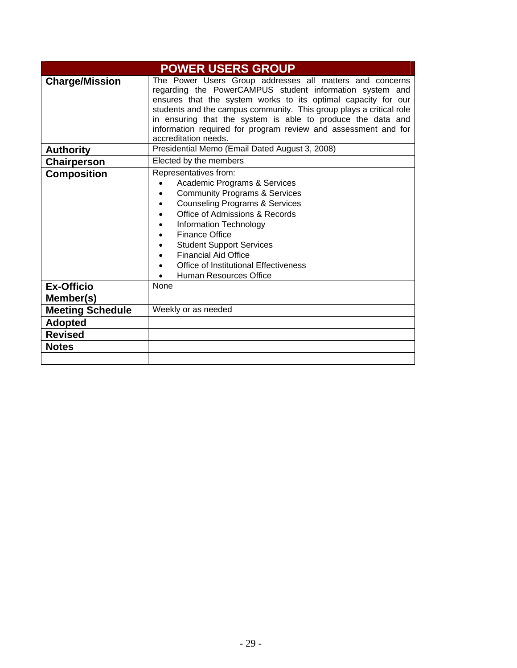| <b>POWER USERS GROUP</b>       |                                                                                                                                                                                                                                                                                                                                                                                                                       |
|--------------------------------|-----------------------------------------------------------------------------------------------------------------------------------------------------------------------------------------------------------------------------------------------------------------------------------------------------------------------------------------------------------------------------------------------------------------------|
| <b>Charge/Mission</b>          | The Power Users Group addresses all matters and concerns<br>regarding the PowerCAMPUS student information system and<br>ensures that the system works to its optimal capacity for our<br>students and the campus community. This group plays a critical role<br>in ensuring that the system is able to produce the data and<br>information required for program review and assessment and for<br>accreditation needs. |
| <b>Authority</b>               | Presidential Memo (Email Dated August 3, 2008)                                                                                                                                                                                                                                                                                                                                                                        |
| <b>Chairperson</b>             | Elected by the members                                                                                                                                                                                                                                                                                                                                                                                                |
| <b>Composition</b>             | Representatives from:<br>Academic Programs & Services<br><b>Community Programs &amp; Services</b><br><b>Counseling Programs &amp; Services</b><br>Office of Admissions & Records<br><b>Information Technology</b><br><b>Finance Office</b><br><b>Student Support Services</b><br><b>Financial Aid Office</b><br>Office of Institutional Effectiveness<br>Human Resources Office                                       |
| <b>Ex-Officio</b><br>Member(s) | <b>None</b>                                                                                                                                                                                                                                                                                                                                                                                                           |
| <b>Meeting Schedule</b>        | Weekly or as needed                                                                                                                                                                                                                                                                                                                                                                                                   |
| <b>Adopted</b>                 |                                                                                                                                                                                                                                                                                                                                                                                                                       |
| <b>Revised</b>                 |                                                                                                                                                                                                                                                                                                                                                                                                                       |
| <b>Notes</b>                   |                                                                                                                                                                                                                                                                                                                                                                                                                       |
|                                |                                                                                                                                                                                                                                                                                                                                                                                                                       |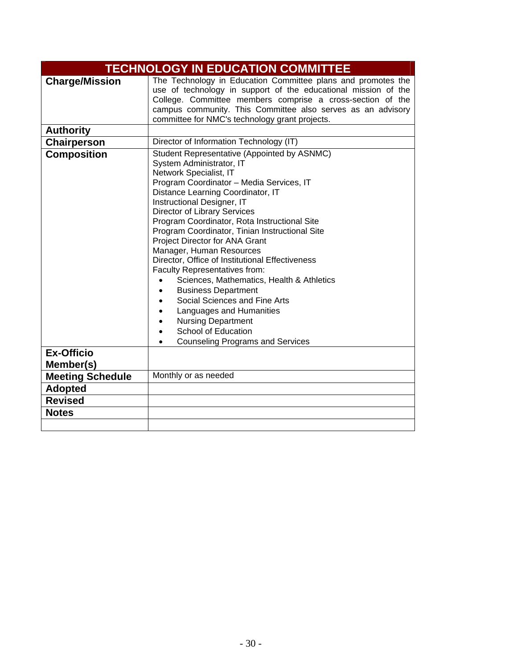| <b>TECHNOLOGY IN EDUCATION COMMITTEE</b> |                                                                                                                                                                                                                                                                                                                                                                                                                                                                                                                                                                                                                                                                                                                                                                                     |
|------------------------------------------|-------------------------------------------------------------------------------------------------------------------------------------------------------------------------------------------------------------------------------------------------------------------------------------------------------------------------------------------------------------------------------------------------------------------------------------------------------------------------------------------------------------------------------------------------------------------------------------------------------------------------------------------------------------------------------------------------------------------------------------------------------------------------------------|
| <b>Charge/Mission</b>                    | The Technology in Education Committee plans and promotes the<br>use of technology in support of the educational mission of the<br>College. Committee members comprise a cross-section of the<br>campus community. This Committee also serves as an advisory<br>committee for NMC's technology grant projects.                                                                                                                                                                                                                                                                                                                                                                                                                                                                       |
| <b>Authority</b>                         |                                                                                                                                                                                                                                                                                                                                                                                                                                                                                                                                                                                                                                                                                                                                                                                     |
| Chairperson                              | Director of Information Technology (IT)                                                                                                                                                                                                                                                                                                                                                                                                                                                                                                                                                                                                                                                                                                                                             |
| <b>Composition</b>                       | Student Representative (Appointed by ASNMC)<br>System Administrator, IT<br>Network Specialist, IT<br>Program Coordinator - Media Services, IT<br>Distance Learning Coordinator, IT<br>Instructional Designer, IT<br><b>Director of Library Services</b><br>Program Coordinator, Rota Instructional Site<br>Program Coordinator, Tinian Instructional Site<br>Project Director for ANA Grant<br>Manager, Human Resources<br>Director, Office of Institutional Effectiveness<br>Faculty Representatives from:<br>Sciences, Mathematics, Health & Athletics<br><b>Business Department</b><br>$\bullet$<br>Social Sciences and Fine Arts<br>Languages and Humanities<br><b>Nursing Department</b><br><b>School of Education</b><br>$\bullet$<br><b>Counseling Programs and Services</b> |
| <b>Ex-Officio</b>                        |                                                                                                                                                                                                                                                                                                                                                                                                                                                                                                                                                                                                                                                                                                                                                                                     |
| Member(s)                                |                                                                                                                                                                                                                                                                                                                                                                                                                                                                                                                                                                                                                                                                                                                                                                                     |
| <b>Meeting Schedule</b>                  | Monthly or as needed                                                                                                                                                                                                                                                                                                                                                                                                                                                                                                                                                                                                                                                                                                                                                                |
| <b>Adopted</b>                           |                                                                                                                                                                                                                                                                                                                                                                                                                                                                                                                                                                                                                                                                                                                                                                                     |
| <b>Revised</b>                           |                                                                                                                                                                                                                                                                                                                                                                                                                                                                                                                                                                                                                                                                                                                                                                                     |
| <b>Notes</b>                             |                                                                                                                                                                                                                                                                                                                                                                                                                                                                                                                                                                                                                                                                                                                                                                                     |
|                                          |                                                                                                                                                                                                                                                                                                                                                                                                                                                                                                                                                                                                                                                                                                                                                                                     |